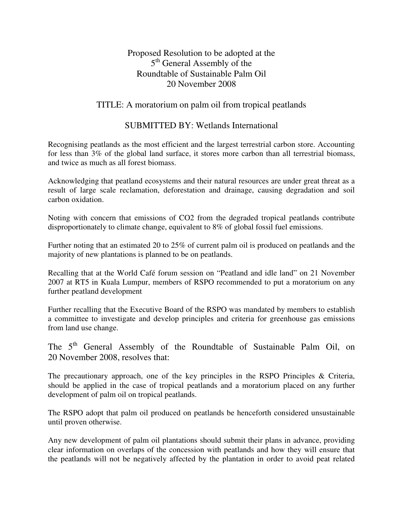Proposed Resolution to be adopted at the 5<sup>th</sup> General Assembly of the Roundtable of Sustainable Palm Oil 20 November 2008

## TITLE: A moratorium on palm oil from tropical peatlands

## SUBMITTED BY: Wetlands International

Recognising peatlands as the most efficient and the largest terrestrial carbon store. Accounting for less than 3% of the global land surface, it stores more carbon than all terrestrial biomass, and twice as much as all forest biomass.

Acknowledging that peatland ecosystems and their natural resources are under great threat as a result of large scale reclamation, deforestation and drainage, causing degradation and soil carbon oxidation.

Noting with concern that emissions of CO2 from the degraded tropical peatlands contribute disproportionately to climate change, equivalent to 8% of global fossil fuel emissions.

Further noting that an estimated 20 to 25% of current palm oil is produced on peatlands and the majority of new plantations is planned to be on peatlands.

Recalling that at the World Café forum session on "Peatland and idle land" on 21 November 2007 at RT5 in Kuala Lumpur, members of RSPO recommended to put a moratorium on any further peatland development

Further recalling that the Executive Board of the RSPO was mandated by members to establish a committee to investigate and develop principles and criteria for greenhouse gas emissions from land use change.

The 5<sup>th</sup> General Assembly of the Roundtable of Sustainable Palm Oil, on 20 November 2008, resolves that:

The precautionary approach, one of the key principles in the RSPO Principles & Criteria, should be applied in the case of tropical peatlands and a moratorium placed on any further development of palm oil on tropical peatlands.

The RSPO adopt that palm oil produced on peatlands be henceforth considered unsustainable until proven otherwise.

Any new development of palm oil plantations should submit their plans in advance, providing clear information on overlaps of the concession with peatlands and how they will ensure that the peatlands will not be negatively affected by the plantation in order to avoid peat related